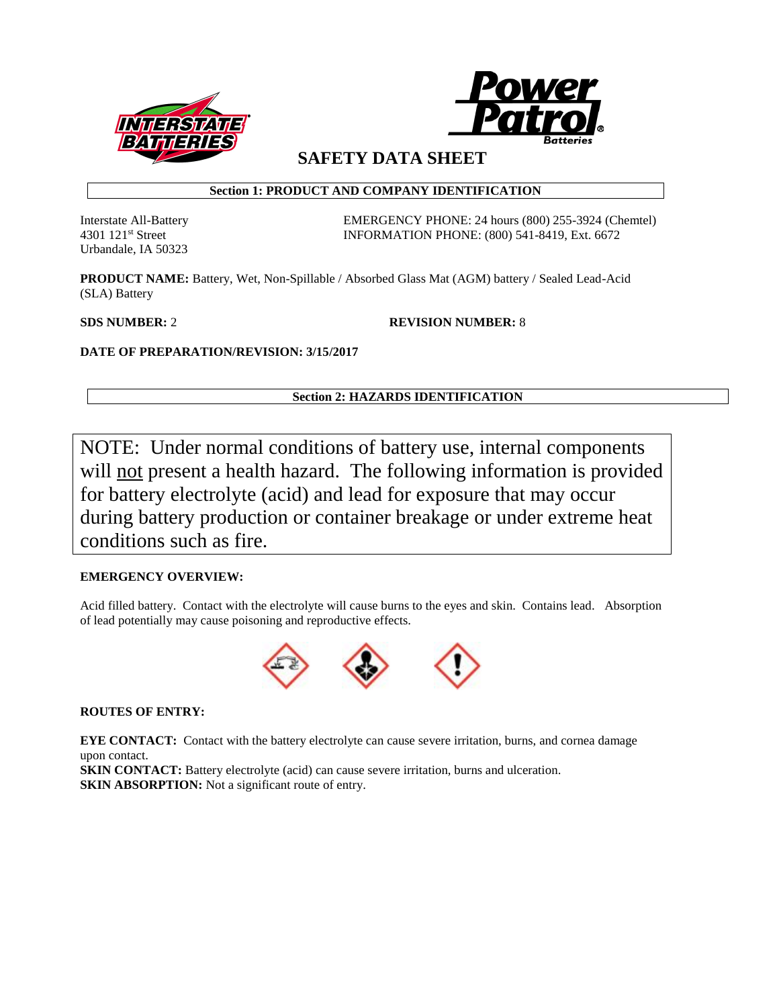



**SAFETY DATA SHEET**

# **Section 1: PRODUCT AND COMPANY IDENTIFICATION**

Urbandale, IA 50323

Interstate All-Battery EMERGENCY PHONE: 24 hours (800) 255-3924 (Chemtel) 4301 121st Street INFORMATION PHONE: (800) 541-8419, Ext. 6672

**PRODUCT NAME:** Battery, Wet, Non-Spillable / Absorbed Glass Mat (AGM) battery / Sealed Lead-Acid (SLA) Battery

**SDS NUMBER:** 2 **REVISION NUMBER:** 8

**DATE OF PREPARATION/REVISION: 3/15/2017**

# **Section 2: HAZARDS IDENTIFICATION**

NOTE: Under normal conditions of battery use, internal components will not present a health hazard. The following information is provided for battery electrolyte (acid) and lead for exposure that may occur during battery production or container breakage or under extreme heat conditions such as fire.

# **EMERGENCY OVERVIEW:**

Acid filled battery. Contact with the electrolyte will cause burns to the eyes and skin. Contains lead. Absorption of lead potentially may cause poisoning and reproductive effects.



**ROUTES OF ENTRY:**

**EYE CONTACT:** Contact with the battery electrolyte can cause severe irritation, burns, and cornea damage upon contact.

**SKIN CONTACT:** Battery electrolyte (acid) can cause severe irritation, burns and ulceration. **SKIN ABSORPTION:** Not a significant route of entry.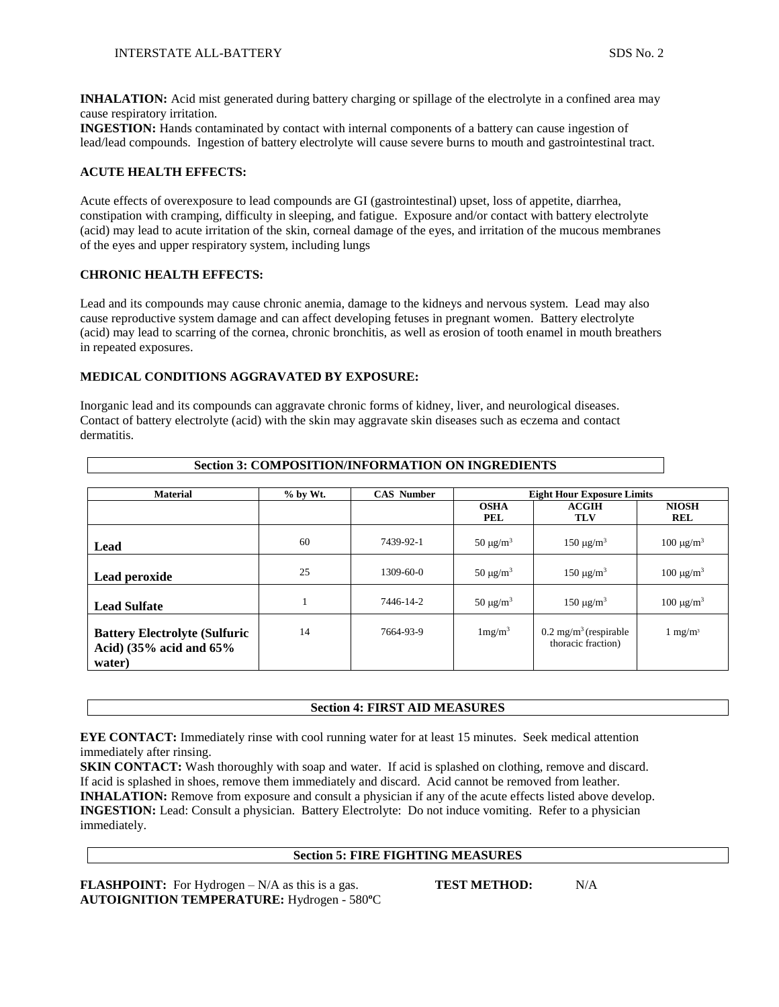**INHALATION:** Acid mist generated during battery charging or spillage of the electrolyte in a confined area may cause respiratory irritation.

**INGESTION:** Hands contaminated by contact with internal components of a battery can cause ingestion of lead/lead compounds. Ingestion of battery electrolyte will cause severe burns to mouth and gastrointestinal tract.

# **ACUTE HEALTH EFFECTS:**

Acute effects of overexposure to lead compounds are GI (gastrointestinal) upset, loss of appetite, diarrhea, constipation with cramping, difficulty in sleeping, and fatigue. Exposure and/or contact with battery electrolyte (acid) may lead to acute irritation of the skin, corneal damage of the eyes, and irritation of the mucous membranes of the eyes and upper respiratory system, including lungs

## **CHRONIC HEALTH EFFECTS:**

Lead and its compounds may cause chronic anemia, damage to the kidneys and nervous system. Lead may also cause reproductive system damage and can affect developing fetuses in pregnant women. Battery electrolyte (acid) may lead to scarring of the cornea, chronic bronchitis, as well as erosion of tooth enamel in mouth breathers in repeated exposures.

# **MEDICAL CONDITIONS AGGRAVATED BY EXPOSURE:**

Inorganic lead and its compounds can aggravate chronic forms of kidney, liver, and neurological diseases. Contact of battery electrolyte (acid) with the skin may aggravate skin diseases such as eczema and contact dermatitis.

| <b>Material</b>                                                                        | $%$ by Wt. | <b>CAS Number</b> | <b>Eight Hour Exposure Limits</b> |                                                        |                               |
|----------------------------------------------------------------------------------------|------------|-------------------|-----------------------------------|--------------------------------------------------------|-------------------------------|
|                                                                                        |            |                   | <b>OSHA</b><br><b>PEL</b>         | <b>ACGIH</b><br>TLV                                    | <b>NIOSH</b><br><b>REL</b>    |
| Lead                                                                                   | 60         | 7439-92-1         | $50 \mu g/m^3$                    | $150 \text{ µg/m}^3$                                   | $100 \mu g/m^3$               |
| Lead peroxide                                                                          | 25         | $1309 - 60 - 0$   | $50 \mu g/m^3$                    | $150 \mu g/m^3$                                        | $100 \text{ µg/m}^3$          |
| <b>Lead Sulfate</b>                                                                    |            | 7446-14-2         | $50 \mu g/m^3$                    | $150 \mu g/m^3$                                        | $100 \text{ }\mu\text{g/m}^3$ |
| <b>Battery Electrolyte (Sulfuric</b><br>Acid) $(35\% \text{ acid and } 65\%$<br>water) | 14         | 7664-93-9         | 1mg/m <sup>3</sup>                | $0.2 \text{ mg/m}^3$ (respirable<br>thoracic fraction) | $1 \text{ mg/m}^3$            |

# **Section 3: COMPOSITION/INFORMATION ON INGREDIENTS**

### **Section 4: FIRST AID MEASURES**

**EYE CONTACT:** Immediately rinse with cool running water for at least 15 minutes. Seek medical attention immediately after rinsing.

**SKIN CONTACT:** Wash thoroughly with soap and water. If acid is splashed on clothing, remove and discard. If acid is splashed in shoes, remove them immediately and discard. Acid cannot be removed from leather. **INHALATION:** Remove from exposure and consult a physician if any of the acute effects listed above develop. **INGESTION:** Lead: Consult a physician. Battery Electrolyte: Do not induce vomiting. Refer to a physician immediately.

## **Section 5: FIRE FIGHTING MEASURES**

**FLASHPOINT:** For Hydrogen – N/A as this is a gas. **TEST METHOD:** N/A **AUTOIGNITION TEMPERATURE:** Hydrogen - 580**º**C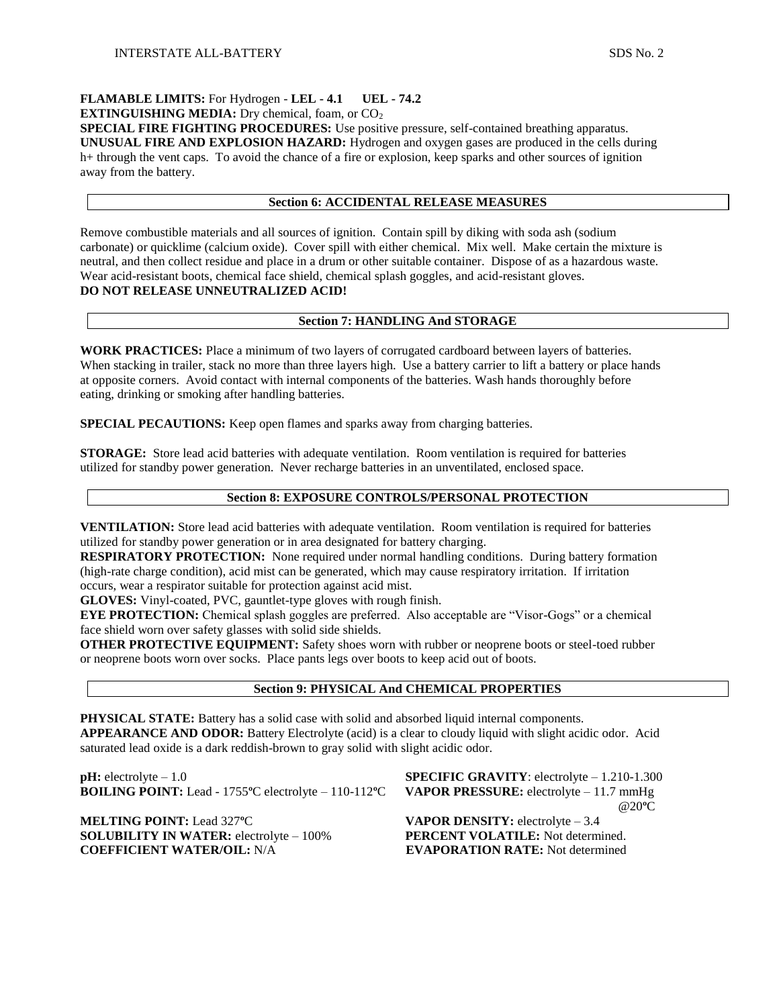# **FLAMABLE LIMITS:** For Hydrogen - **LEL - 4.1 UEL - 74.2**

**EXTINGUISHING MEDIA:** Dry chemical, foam, or CO<sub>2</sub>

**SPECIAL FIRE FIGHTING PROCEDURES:** Use positive pressure, self-contained breathing apparatus. **UNUSUAL FIRE AND EXPLOSION HAZARD:** Hydrogen and oxygen gases are produced in the cells during h+ through the vent caps. To avoid the chance of a fire or explosion, keep sparks and other sources of ignition away from the battery.

# **Section 6: ACCIDENTAL RELEASE MEASURES**

Remove combustible materials and all sources of ignition. Contain spill by diking with soda ash (sodium carbonate) or quicklime (calcium oxide). Cover spill with either chemical. Mix well. Make certain the mixture is neutral, and then collect residue and place in a drum or other suitable container. Dispose of as a hazardous waste. Wear acid-resistant boots, chemical face shield, chemical splash goggles, and acid-resistant gloves. **DO NOT RELEASE UNNEUTRALIZED ACID!** 

# **Section 7: HANDLING And STORAGE**

**WORK PRACTICES:** Place a minimum of two layers of corrugated cardboard between layers of batteries. When stacking in trailer, stack no more than three layers high. Use a battery carrier to lift a battery or place hands at opposite corners. Avoid contact with internal components of the batteries. Wash hands thoroughly before eating, drinking or smoking after handling batteries.

**SPECIAL PECAUTIONS:** Keep open flames and sparks away from charging batteries.

**STORAGE:** Store lead acid batteries with adequate ventilation. Room ventilation is required for batteries utilized for standby power generation. Never recharge batteries in an unventilated, enclosed space.

# **Section 8: EXPOSURE CONTROLS/PERSONAL PROTECTION**

**VENTILATION:** Store lead acid batteries with adequate ventilation. Room ventilation is required for batteries utilized for standby power generation or in area designated for battery charging.

**RESPIRATORY PROTECTION:** None required under normal handling conditions. During battery formation (high-rate charge condition), acid mist can be generated, which may cause respiratory irritation. If irritation occurs, wear a respirator suitable for protection against acid mist.

**GLOVES:** Vinyl-coated, PVC, gauntlet-type gloves with rough finish.

**EYE PROTECTION:** Chemical splash goggles are preferred. Also acceptable are "Visor-Gogs" or a chemical face shield worn over safety glasses with solid side shields.

**OTHER PROTECTIVE EQUIPMENT:** Safety shoes worn with rubber or neoprene boots or steel-toed rubber or neoprene boots worn over socks. Place pants legs over boots to keep acid out of boots.

## **Section 9: PHYSICAL And CHEMICAL PROPERTIES**

**PHYSICAL STATE:** Battery has a solid case with solid and absorbed liquid internal components. **APPEARANCE AND ODOR:** Battery Electrolyte (acid) is a clear to cloudy liquid with slight acidic odor. Acid saturated lead oxide is a dark reddish-brown to gray solid with slight acidic odor.

**pH:** electrolyte – 1.0 **SPECIFIC GRAVITY**: electrolyte – 1.210-1.300 **BOILING POINT:** Lead - 1755**º**C electrolyte – 110-112**º**C **VAPOR PRESSURE:** electrolyte – 11.7 mmHg

**MELTING POINT:** Lead 327°C **VAPOR DENSITY:** electrolyte – 3.4 **SOLUBILITY IN WATER:** electrolyte – 100% **PERCENT VOLATILE:** Not determined. **COEFFICIENT WATER/OIL:** N/A **EVAPORATION RATE:** Not determined

@20**º**C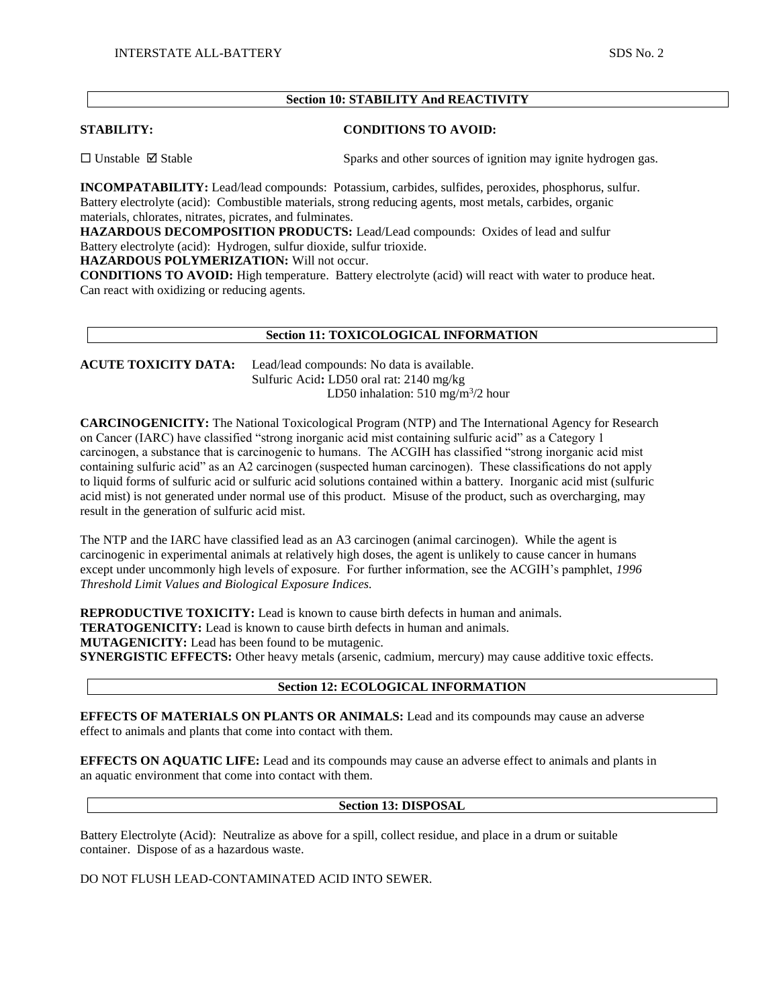# **Section 10: STABILITY And REACTIVITY**

**STABILITY: CONDITIONS TO AVOID:**

 $\Box$  Unstable  $\Box$  Stable  $\Box$  Stable Sparks and other sources of ignition may ignite hydrogen gas.

**INCOMPATABILITY:** Lead/lead compounds: Potassium, carbides, sulfides, peroxides, phosphorus, sulfur. Battery electrolyte (acid): Combustible materials, strong reducing agents, most metals, carbides, organic materials, chlorates, nitrates, picrates, and fulminates.

**HAZARDOUS DECOMPOSITION PRODUCTS:** Lead/Lead compounds: Oxides of lead and sulfur Battery electrolyte (acid): Hydrogen, sulfur dioxide, sulfur trioxide.

**HAZARDOUS POLYMERIZATION:** Will not occur.

**CONDITIONS TO AVOID:** High temperature. Battery electrolyte (acid) will react with water to produce heat. Can react with oxidizing or reducing agents.

### **Section 11: TOXICOLOGICAL INFORMATION**

**ACUTE TOXICITY DATA:** Lead/lead compounds: No data is available. Sulfuric Acid**:** LD50 oral rat: 2140 mg/kg LD50 inhalation:  $510 \text{ mg/m}^3/2$  hour

**CARCINOGENICITY:** The National Toxicological Program (NTP) and The International Agency for Research on Cancer (IARC) have classified "strong inorganic acid mist containing sulfuric acid" as a Category 1 carcinogen, a substance that is carcinogenic to humans. The ACGIH has classified "strong inorganic acid mist containing sulfuric acid" as an A2 carcinogen (suspected human carcinogen). These classifications do not apply to liquid forms of sulfuric acid or sulfuric acid solutions contained within a battery. Inorganic acid mist (sulfuric acid mist) is not generated under normal use of this product. Misuse of the product, such as overcharging, may result in the generation of sulfuric acid mist.

The NTP and the IARC have classified lead as an A3 carcinogen (animal carcinogen). While the agent is carcinogenic in experimental animals at relatively high doses, the agent is unlikely to cause cancer in humans except under uncommonly high levels of exposure. For further information, see the ACGIH's pamphlet, *1996 Threshold Limit Values and Biological Exposure Indices.*

**REPRODUCTIVE TOXICITY:** Lead is known to cause birth defects in human and animals.

**TERATOGENICITY:** Lead is known to cause birth defects in human and animals.

**MUTAGENICITY:** Lead has been found to be mutagenic.

**SYNERGISTIC EFFECTS:** Other heavy metals (arsenic, cadmium, mercury) may cause additive toxic effects.

# **Section 12: ECOLOGICAL INFORMATION**

**EFFECTS OF MATERIALS ON PLANTS OR ANIMALS:** Lead and its compounds may cause an adverse effect to animals and plants that come into contact with them.

**EFFECTS ON AQUATIC LIFE:** Lead and its compounds may cause an adverse effect to animals and plants in an aquatic environment that come into contact with them.

## **Section 13: DISPOSAL**

Battery Electrolyte (Acid): Neutralize as above for a spill, collect residue, and place in a drum or suitable container. Dispose of as a hazardous waste.

DO NOT FLUSH LEAD-CONTAMINATED ACID INTO SEWER.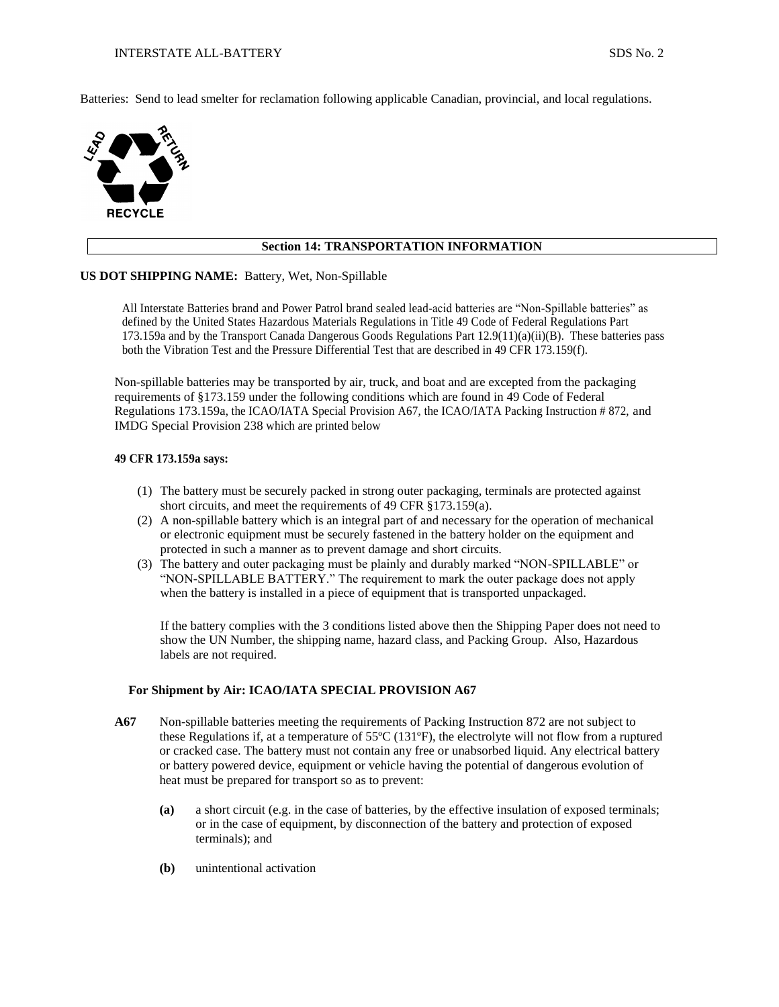Batteries: Send to lead smelter for reclamation following applicable Canadian, provincial, and local regulations.



# **Section 14: TRANSPORTATION INFORMATION**

### **US DOT SHIPPING NAME:** Battery, Wet, Non-Spillable

All Interstate Batteries brand and Power Patrol brand sealed lead-acid batteries are "Non-Spillable batteries" as defined by the United States Hazardous Materials Regulations in Title 49 Code of Federal Regulations Part 173.159a and by the Transport Canada Dangerous Goods Regulations Part 12.9(11)(a)(ii)(B). These batteries pass both the Vibration Test and the Pressure Differential Test that are described in 49 CFR 173.159(f).

Non-spillable batteries may be transported by air, truck, and boat and are excepted from the packaging requirements of §173.159 under the following conditions which are found in 49 Code of Federal Regulations 173.159a, the ICAO/IATA Special Provision A67, the ICAO/IATA Packing Instruction # 872, and IMDG Special Provision 238 which are printed below

### **49 CFR 173.159a says:**

- (1) The battery must be securely packed in strong outer packaging, terminals are protected against short circuits, and meet the requirements of 49 CFR §173.159(a).
- (2) A non-spillable battery which is an integral part of and necessary for the operation of mechanical or electronic equipment must be securely fastened in the battery holder on the equipment and protected in such a manner as to prevent damage and short circuits.
- (3) The battery and outer packaging must be plainly and durably marked "NON-SPILLABLE" or "NON-SPILLABLE BATTERY." The requirement to mark the outer package does not apply when the battery is installed in a piece of equipment that is transported unpackaged.

If the battery complies with the 3 conditions listed above then the Shipping Paper does not need to show the UN Number, the shipping name, hazard class, and Packing Group. Also, Hazardous labels are not required.

### **For Shipment by Air: ICAO/IATA SPECIAL PROVISION A67**

- **A67** Non-spillable batteries meeting the requirements of Packing Instruction 872 are not subject to these Regulations if, at a temperature of 55ºC (131ºF), the electrolyte will not flow from a ruptured or cracked case. The battery must not contain any free or unabsorbed liquid. Any electrical battery or battery powered device, equipment or vehicle having the potential of dangerous evolution of heat must be prepared for transport so as to prevent:
	- **(a)** a short circuit (e.g. in the case of batteries, by the effective insulation of exposed terminals; or in the case of equipment, by disconnection of the battery and protection of exposed terminals); and
	- **(b)** unintentional activation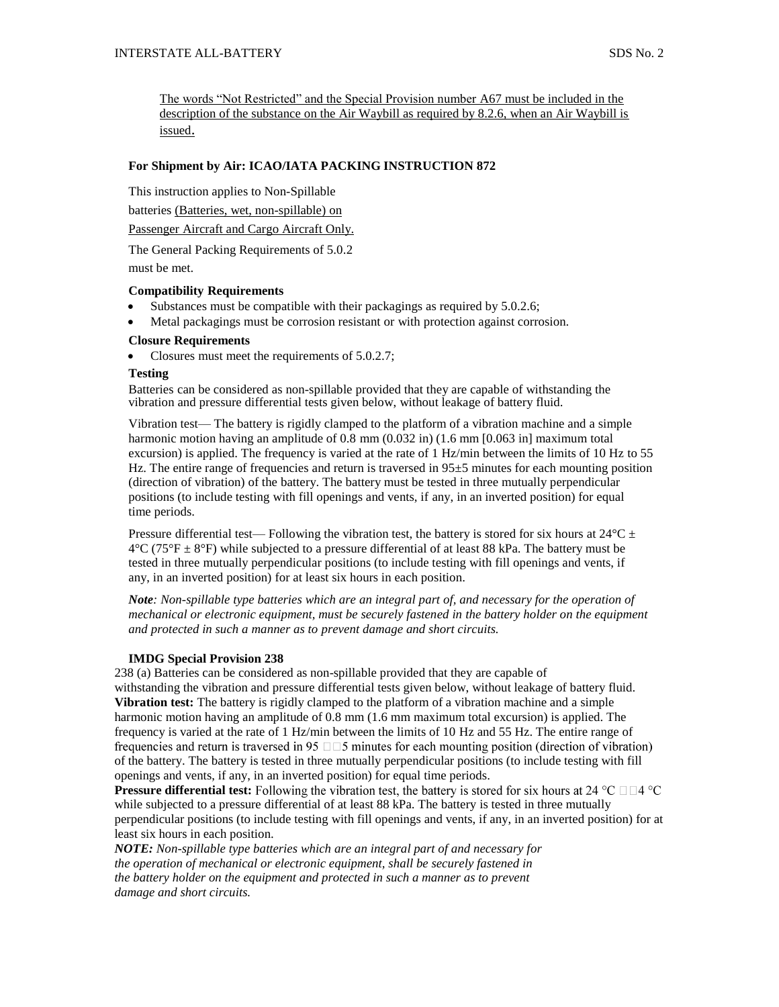The words "Not Restricted" and the Special Provision number A67 must be included in the description of the substance on the Air Waybill as required by 8.2.6, when an Air Waybill is issued.

## **For Shipment by Air: ICAO/IATA PACKING INSTRUCTION 872**

This instruction applies to Non-Spillable

batteries (Batteries, wet, non-spillable) on

Passenger Aircraft and Cargo Aircraft Only.

The General Packing Requirements of 5.0.2

must be met.

### **Compatibility Requirements**

- Substances must be compatible with their packagings as required by 5.0.2.6;
- Metal packagings must be corrosion resistant or with protection against corrosion.

## **Closure Requirements**

Closures must meet the requirements of 5.0.2.7;

### **Testing**

Batteries can be considered as non-spillable provided that they are capable of withstanding the vibration and pressure differential tests given below, without leakage of battery fluid.

Vibration test— The battery is rigidly clamped to the platform of a vibration machine and a simple harmonic motion having an amplitude of 0.8 mm (0.032 in) (1.6 mm [0.063 in] maximum total excursion) is applied. The frequency is varied at the rate of 1 Hz/min between the limits of 10 Hz to 55 Hz. The entire range of frequencies and return is traversed in 95±5 minutes for each mounting position (direction of vibration) of the battery. The battery must be tested in three mutually perpendicular positions (to include testing with fill openings and vents, if any, in an inverted position) for equal time periods.

Pressure differential test— Following the vibration test, the battery is stored for six hours at  $24^{\circ}$ C  $\pm$  $4^{\circ}$ C (75<sup>°</sup>F  $\pm$  8<sup>°</sup>F) while subjected to a pressure differential of at least 88 kPa. The battery must be tested in three mutually perpendicular positions (to include testing with fill openings and vents, if any, in an inverted position) for at least six hours in each position.

*Note: Non-spillable type batteries which are an integral part of, and necessary for the operation of mechanical or electronic equipment, must be securely fastened in the battery holder on the equipment and protected in such a manner as to prevent damage and short circuits.*

### **IMDG Special Provision 238**

238 (a) Batteries can be considered as non-spillable provided that they are capable of withstanding the vibration and pressure differential tests given below, without leakage of battery fluid. **Vibration test:** The battery is rigidly clamped to the platform of a vibration machine and a simple harmonic motion having an amplitude of 0.8 mm  $(1.6 \text{ mm}$  maximum total excursion) is applied. The frequency is varied at the rate of 1 Hz/min between the limits of 10 Hz and 55 Hz. The entire range of frequencies and return is traversed in 95  $\Box$  5 minutes for each mounting position (direction of vibration) of the battery. The battery is tested in three mutually perpendicular positions (to include testing with fill openings and vents, if any, in an inverted position) for equal time periods.

**Pressure differential test:** Following the vibration test, the battery is stored for six hours at 24 °C  $\Box$   $\Box$ 4 °C while subjected to a pressure differential of at least 88 kPa. The battery is tested in three mutually perpendicular positions (to include testing with fill openings and vents, if any, in an inverted position) for at least six hours in each position.

*NOTE: Non-spillable type batteries which are an integral part of and necessary for the operation of mechanical or electronic equipment, shall be securely fastened in the battery holder on the equipment and protected in such a manner as to prevent damage and short circuits.*